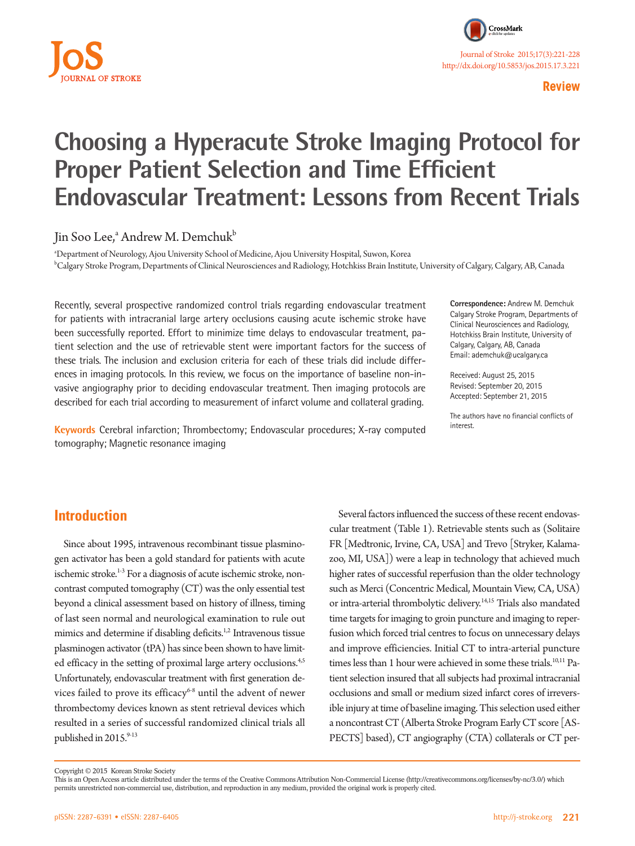

#### **Review**

# **Choosing a Hyperacute Stroke Imaging Protocol for Proper Patient Selection and Time Efficient Endovascular Treatment: Lessons from Recent Trials**

Jin Soo Lee,<sup>a</sup> Andrew M. Demchuk<sup>b</sup>

a Department of Neurology, Ajou University School of Medicine, Ajou University Hospital, Suwon, Korea b Calgary Stroke Program, Departments of Clinical Neurosciences and Radiology, Hotchkiss Brain Institute, University of Calgary, Calgary, AB, Canada

Recently, several prospective randomized control trials regarding endovascular treatment for patients with intracranial large artery occlusions causing acute ischemic stroke have been successfully reported. Effort to minimize time delays to endovascular treatment, patient selection and the use of retrievable stent were important factors for the success of these trials. The inclusion and exclusion criteria for each of these trials did include differences in imaging protocols. In this review, we focus on the importance of baseline non-invasive angiography prior to deciding endovascular treatment. Then imaging protocols are described for each trial according to measurement of infarct volume and collateral grading.

**Keywords** Cerebral infarction; Thrombectomy; Endovascular procedures; X-ray computed tomography; Magnetic resonance imaging

**Correspondence:** Andrew M. Demchuk Calgary Stroke Program, Departments of Clinical Neurosciences and Radiology, Hotchkiss Brain Institute, University of Calgary, Calgary, AB, Canada Email: ademchuk@ucalgary.ca

Received: August 25, 2015 Revised: September 20, 2015 Accepted: September 21, 2015

The authors have no financial conflicts of interest.

## **Introduction**

Since about 1995, intravenous recombinant tissue plasminogen activator has been a gold standard for patients with acute ischemic stroke.<sup>1-3</sup> For a diagnosis of acute ischemic stroke, noncontrast computed tomography (CT) was the only essential test beyond a clinical assessment based on history of illness, timing of last seen normal and neurological examination to rule out mimics and determine if disabling deficits.<sup>1,2</sup> Intravenous tissue plasminogen activator (tPA) has since been shown to have limited efficacy in the setting of proximal large artery occlusions.<sup>4,5</sup> Unfortunately, endovascular treatment with first generation devices failed to prove its efficacy<sup>6-8</sup> until the advent of newer thrombectomy devices known as stent retrieval devices which resulted in a series of successful randomized clinical trials all published in 2015.9-13

Several factors influenced the success of these recent endovascular treatment (Table 1). Retrievable stents such as (Solitaire FR [Medtronic, Irvine, CA, USA] and Trevo [Stryker, Kalamazoo, MI, USA]) were a leap in technology that achieved much higher rates of successful reperfusion than the older technology such as Merci (Concentric Medical, Mountain View, CA, USA) or intra-arterial thrombolytic delivery.14,15 Trials also mandated time targets for imaging to groin puncture and imaging to reperfusion which forced trial centres to focus on unnecessary delays and improve efficiencies. Initial CT to intra-arterial puncture times less than 1 hour were achieved in some these trials.<sup>10,11</sup> Patient selection insured that all subjects had proximal intracranial occlusions and small or medium sized infarct cores of irreversible injury at time of baseline imaging. This selection used either a noncontrast CT (Alberta Stroke Program Early CT score [AS-PECTS] based), CT angiography (CTA) collaterals or CT per-

Copyright © 2015 Korean Stroke Society

This is an Open Access article distributed under the terms of the Creative Commons Attribution Non-Commercial License (http://creativecommons.org/licenses/by-nc/3.0/) which permits unrestricted non-commercial use, distribution, and reproduction in any medium, provided the original work is properly cited.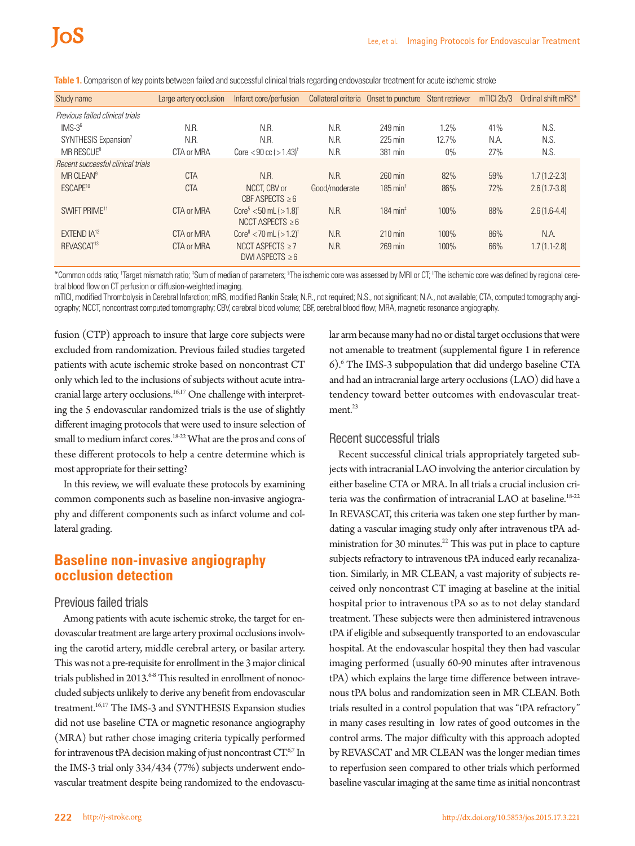| Study name                        | Large artery occlusion | Infarct core/perfusion                                            |               | Collateral criteria Onset to puncture Stent retriever |       | $mTICI$ 2b/3 | Ordinal shift mRS* |
|-----------------------------------|------------------------|-------------------------------------------------------------------|---------------|-------------------------------------------------------|-------|--------------|--------------------|
| Previous failed clinical trials   |                        |                                                                   |               |                                                       |       |              |                    |
| $IMS-3^6$                         | N.R.                   | N.R.                                                              | N.R.          | 249 min                                               | 1.2%  | 41%          | N.S.               |
| SYNTHESIS Expansion <sup>7</sup>  | N.R.                   | N.R.                                                              | N.R.          | $225 \text{ min}$                                     | 12.7% | N.A.         | N.S.               |
| $MR$ RESCUE <sup>8</sup>          | CTA or MRA             | Core $< 90$ cc $( > 1.43)$ <sup>†</sup>                           | N.R.          | 381 min                                               | $0\%$ | 27%          | N.S.               |
| Recent successful clinical trials |                        |                                                                   |               |                                                       |       |              |                    |
| MR CLEAN <sup>9</sup>             | <b>CTA</b>             | N.R.                                                              | N.R.          | $260 \text{ min}$                                     | 82%   | 59%          | $1.7(1.2 - 2.3)$   |
| ESCAPE <sup>10</sup>              | <b>CTA</b>             | NCCT. CBV or<br>CBF ASPECTS $\geq 6$                              | Good/moderate | $185 \text{ min}^{\ddagger}$                          | 86%   | 72%          | $2.6(1.7-3.8)$     |
| SWIFT PRIME <sup>11</sup>         | CTA or MRA             | $Core^3$ < 50 mL ( $>1.8$ ) <sup>†</sup><br>NCCT ASPECTS $\geq 6$ | N.R.          | $184 \text{ min}^{\ddagger}$                          | 100%  | 88%          | $2.6(1.6-4.4)$     |
| EXTEND $IA^{12}$                  | CTA or MRA             | Core <sup>"</sup> < 70 mL $($ > 1.2) <sup>†</sup>                 | N.R.          | $210 \text{ min}$                                     | 100%  | 86%          | N.A.               |
| REVASCAT <sup>13</sup>            | CTA or MRA             | NCCT ASPECTS $\geq 7$<br>DWI ASPECTS $\geq 6$                     | N.R.          | 269 min                                               | 100%  | 66%          | $1.7(1.1-2.8)$     |

**Table 1.** Comparison of key points between failed and successful clinical trials regarding endovascular treatment for acute ischemic stroke

\*Common odds ratio; † Target mismatch ratio; ‡ Sum of median of parameters; § The ischemic core was assessed by MRI or CT; IIThe ischemic core was defined by regional cerebral blood flow on CT perfusion or diffusion-weighted imaging.

mTICI, modified Thrombolysis in Cerebral Infarction; mRS, modified Rankin Scale; N.R., not required; N.S., not significant; N.A., not available; CTA, computed tomography angiography; NCCT, noncontrast computed tomomgraphy; CBV, cerebral blood volume; CBF, cerebral blood flow; MRA, magnetic resonance angiography.

fusion (CTP) approach to insure that large core subjects were excluded from randomization. Previous failed studies targeted patients with acute ischemic stroke based on noncontrast CT only which led to the inclusions of subjects without acute intracranial large artery occlusions.<sup>16,17</sup> One challenge with interpreting the 5 endovascular randomized trials is the use of slightly different imaging protocols that were used to insure selection of small to medium infarct cores.<sup>18-22</sup> What are the pros and cons of these different protocols to help a centre determine which is most appropriate for their setting?

In this review, we will evaluate these protocols by examining common components such as baseline non-invasive angiography and different components such as infarct volume and collateral grading.

## **Baseline non-invasive angiography occlusion detection**

#### Previous failed trials

Among patients with acute ischemic stroke, the target for endovascular treatment are large artery proximal occlusions involving the carotid artery, middle cerebral artery, or basilar artery. This was not a pre-requisite for enrollment in the 3 major clinical trials published in 2013.<sup>6-8</sup> This resulted in enrollment of nonoccluded subjects unlikely to derive any benefit from endovascular treatment.<sup>16,17</sup> The IMS-3 and SYNTHESIS Expansion studies did not use baseline CTA or magnetic resonance angiography (MRA) but rather chose imaging criteria typically performed for intravenous tPA decision making of just noncontrast  $CT^{6,7}$  In the IMS-3 trial only 334/434 (77%) subjects underwent endovascular treatment despite being randomized to the endovascular arm because many had no or distal target occlusions that were not amenable to treatment (supplemental figure 1 in reference 6).6 The IMS-3 subpopulation that did undergo baseline CTA and had an intracranial large artery occlusions (LAO) did have a tendency toward better outcomes with endovascular treatment.<sup>23</sup>

#### Recent successful trials

Recent successful clinical trials appropriately targeted subjects with intracranial LAO involving the anterior circulation by either baseline CTA or MRA. In all trials a crucial inclusion criteria was the confirmation of intracranial LAO at baseline.<sup>18-22</sup> In REVASCAT, this criteria was taken one step further by mandating a vascular imaging study only after intravenous tPA administration for 30 minutes. $^{22}$  This was put in place to capture subjects refractory to intravenous tPA induced early recanalization. Similarly, in MR CLEAN, a vast majority of subjects received only noncontrast CT imaging at baseline at the initial hospital prior to intravenous tPA so as to not delay standard treatment. These subjects were then administered intravenous tPA if eligible and subsequently transported to an endovascular hospital. At the endovascular hospital they then had vascular imaging performed (usually 60-90 minutes after intravenous tPA) which explains the large time difference between intravenous tPA bolus and randomization seen in MR CLEAN. Both trials resulted in a control population that was "tPA refractory" in many cases resulting in low rates of good outcomes in the control arms. The major difficulty with this approach adopted by REVASCAT and MR CLEAN was the longer median times to reperfusion seen compared to other trials which performed baseline vascular imaging at the same time as initial noncontrast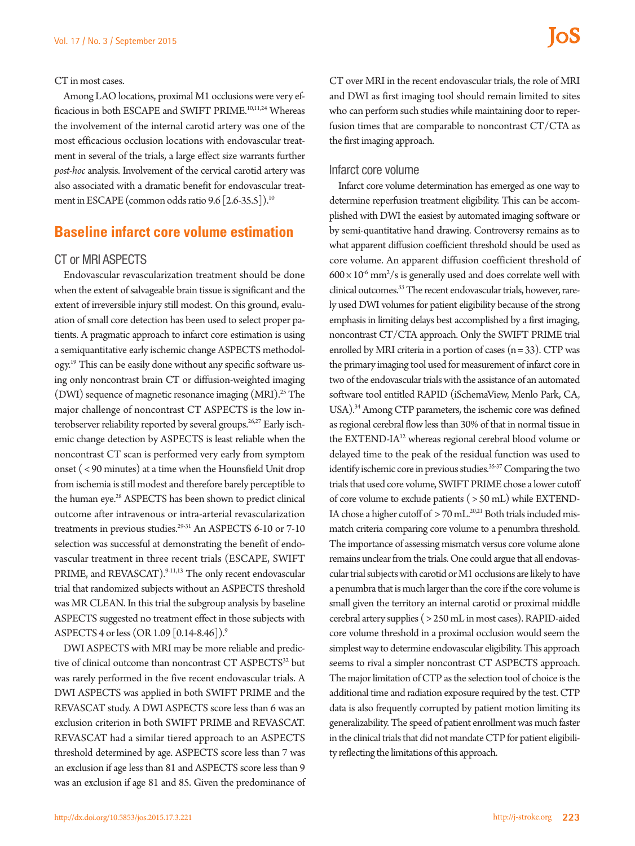#### CT in most cases.

Among LAO locations, proximal M1 occlusions were very efficacious in both ESCAPE and SWIFT PRIME.<sup>10,11,24</sup> Whereas the involvement of the internal carotid artery was one of the most efficacious occlusion locations with endovascular treatment in several of the trials, a large effect size warrants further *post-hoc* analysis. Involvement of the cervical carotid artery was also associated with a dramatic benefit for endovascular treatment in ESCAPE (common odds ratio 9.6 [2.6-35.5]).<sup>10</sup>

## **Baseline infarct core volume estimation**

### CT or MRI ASPECTS

Endovascular revascularization treatment should be done when the extent of salvageable brain tissue is significant and the extent of irreversible injury still modest. On this ground, evaluation of small core detection has been used to select proper patients. A pragmatic approach to infarct core estimation is using a semiquantitative early ischemic change ASPECTS methodology.<sup>19</sup> This can be easily done without any specific software using only noncontrast brain CT or diffusion-weighted imaging (DWI) sequence of magnetic resonance imaging (MRI).<sup>25</sup> The major challenge of noncontrast CT ASPECTS is the low interobserver reliability reported by several groups.<sup>26,27</sup> Early ischemic change detection by ASPECTS is least reliable when the noncontrast CT scan is performed very early from symptom onset ( < 90 minutes) at a time when the Hounsfield Unit drop from ischemia is still modest and therefore barely perceptible to the human eye.<sup>28</sup> ASPECTS has been shown to predict clinical outcome after intravenous or intra-arterial revascularization treatments in previous studies.<sup>29-31</sup> An ASPECTS 6-10 or 7-10 selection was successful at demonstrating the benefit of endovascular treatment in three recent trials (ESCAPE, SWIFT PRIME, and REVASCAT).<sup>9-11,13</sup> The only recent endovascular trial that randomized subjects without an ASPECTS threshold was MR CLEAN. In this trial the subgroup analysis by baseline ASPECTS suggested no treatment effect in those subjects with ASPECTS 4 or less (OR 1.09 [0.14-8.46]).9

DWI ASPECTS with MRI may be more reliable and predictive of clinical outcome than noncontrast CT ASPECTS<sup>32</sup> but was rarely performed in the five recent endovascular trials. A DWI ASPECTS was applied in both SWIFT PRIME and the REVASCAT study. A DWI ASPECTS score less than 6 was an exclusion criterion in both SWIFT PRIME and REVASCAT. REVASCAT had a similar tiered approach to an ASPECTS threshold determined by age. ASPECTS score less than 7 was an exclusion if age less than 81 and ASPECTS score less than 9 was an exclusion if age 81 and 85. Given the predominance of

CT over MRI in the recent endovascular trials, the role of MRI and DWI as first imaging tool should remain limited to sites who can perform such studies while maintaining door to reperfusion times that are comparable to noncontrast CT/CTA as the first imaging approach.

#### Infarct core volume

Infarct core volume determination has emerged as one way to determine reperfusion treatment eligibility. This can be accomplished with DWI the easiest by automated imaging software or by semi-quantitative hand drawing. Controversy remains as to what apparent diffusion coefficient threshold should be used as core volume. An apparent diffusion coefficient threshold of  $600 \times 10^6$  mm<sup>2</sup>/s is generally used and does correlate well with clinical outcomes.33 The recent endovascular trials, however, rarely used DWI volumes for patient eligibility because of the strong emphasis in limiting delays best accomplished by a first imaging, noncontrast CT/CTA approach. Only the SWIFT PRIME trial enrolled by MRI criteria in a portion of cases  $(n=33)$ . CTP was the primary imaging tool used for measurement of infarct core in two of the endovascular trials with the assistance of an automated software tool entitled RAPID (iSchemaView, Menlo Park, CA, USA).<sup>34</sup> Among CTP parameters, the ischemic core was defined as regional cerebral flow less than 30% of that in normal tissue in the EXTEND-IA<sup>12</sup> whereas regional cerebral blood volume or delayed time to the peak of the residual function was used to identify ischemic core in previous studies.<sup>35-37</sup> Comparing the two trials that used core volume, SWIFT PRIME chose a lower cutoff of core volume to exclude patients ( > 50 mL) while EXTEND-IA chose a higher cutoff of  $> 70$  mL.<sup>20,21</sup> Both trials included mismatch criteria comparing core volume to a penumbra threshold. The importance of assessing mismatch versus core volume alone remains unclear from the trials. One could argue that all endovascular trial subjects with carotid or M1 occlusions are likely to have a penumbra that is much larger than the core if the core volume is small given the territory an internal carotid or proximal middle cerebral artery supplies ( > 250 mL in most cases). RAPID-aided core volume threshold in a proximal occlusion would seem the simplest way to determine endovascular eligibility. This approach seems to rival a simpler noncontrast CT ASPECTS approach. The major limitation of CTP as the selection tool of choice is the additional time and radiation exposure required by the test. CTP data is also frequently corrupted by patient motion limiting its generalizability. The speed of patient enrollment was much faster in the clinical trials that did not mandate CTP for patient eligibility reflecting the limitations of this approach.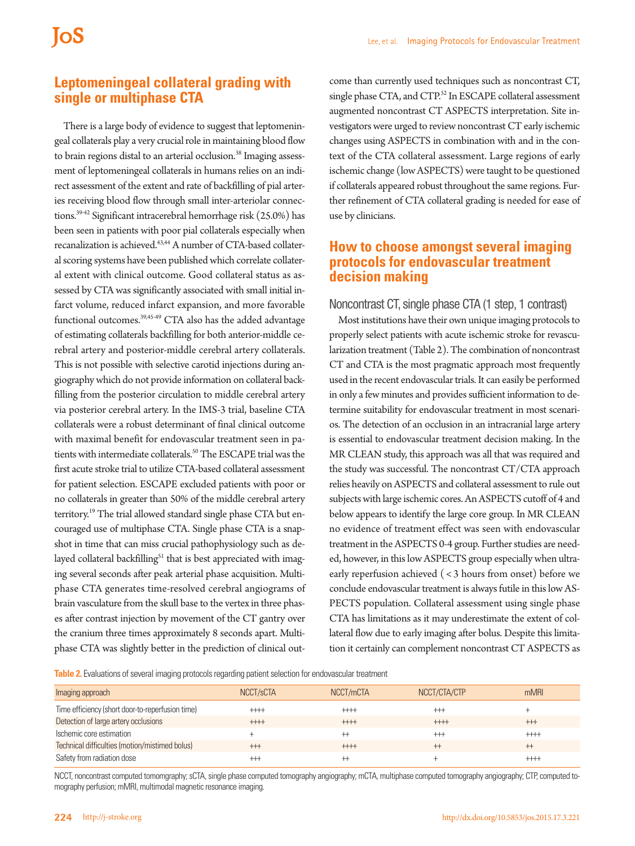## **Leptomeningeal collateral grading with single or multiphase CTA**

There is a large body of evidence to suggest that leptomeningeal collaterals play a very crucial role in maintaining blood flow to brain regions distal to an arterial occlusion.<sup>38</sup> Imaging assessment of leptomeningeal collaterals in humans relies on an indirect assessment of the extent and rate of backfilling of pial arteries receiving blood flow through small inter-arteriolar connections.39-42 Significant intracerebral hemorrhage risk (25.0%) has been seen in patients with poor pial collaterals especially when recanalization is achieved.<sup>43,44</sup> A number of CTA-based collateral scoring systems have been published which correlate collateral extent with clinical outcome. Good collateral status as assessed by CTA was significantly associated with small initial infarct volume, reduced infarct expansion, and more favorable functional outcomes.39,45-49 CTA also has the added advantage of estimating collaterals backfilling for both anterior-middle cerebral artery and posterior-middle cerebral artery collaterals. This is not possible with selective carotid injections during angiography which do not provide information on collateral backfilling from the posterior circulation to middle cerebral artery via posterior cerebral artery. In the IMS-3 trial, baseline CTA collaterals were a robust determinant of final clinical outcome with maximal benefit for endovascular treatment seen in patients with intermediate collaterals.<sup>50</sup> The ESCAPE trial was the first acute stroke trial to utilize CTA-based collateral assessment for patient selection. ESCAPE excluded patients with poor or no collaterals in greater than 50% of the middle cerebral artery territory.<sup>19</sup> The trial allowed standard single phase CTA but encouraged use of multiphase CTA. Single phase CTA is a snapshot in time that can miss crucial pathophysiology such as delayed collateral backfilling<sup>51</sup> that is best appreciated with imaging several seconds after peak arterial phase acquisition. Multiphase CTA generates time-resolved cerebral angiograms of brain vasculature from the skull base to the vertex in three phases after contrast injection by movement of the CT gantry over the cranium three times approximately 8 seconds apart. Multiphase CTA was slightly better in the prediction of clinical out-

come than currently used techniques such as noncontrast CT, single phase CTA, and CTP.<sup>52</sup> In ESCAPE collateral assessment augmented noncontrast CT ASPECTS interpretation. Site investigators were urged to review noncontrast CT early ischemic changes using ASPECTS in combination with and in the context of the CTA collateral assessment. Large regions of early ischemic change (low ASPECTS) were taught to be questioned if collaterals appeared robust throughout the same regions. Further refinement of CTA collateral grading is needed for ease of use by clinicians.

### **How to choose amongst several imaging protocols for endovascular treatment decision making**

Noncontrast CT, single phase CTA (1 step, 1 contrast)

Most institutions have their own unique imaging protocols to properly select patients with acute ischemic stroke for revascularization treatment (Table 2). The combination of noncontrast CT and CTA is the most pragmatic approach most frequently used in the recent endovascular trials. It can easily be performed in only a few minutes and provides sufficient information to determine suitability for endovascular treatment in most scenarios. The detection of an occlusion in an intracranial large artery is essential to endovascular treatment decision making. In the MR CLEAN study, this approach was all that was required and the study was successful. The noncontrast CT/CTA approach relies heavily on ASPECTS and collateral assessment to rule out subjects with large ischemic cores. An ASPECTS cutoff of 4 and below appears to identify the large core group. In MR CLEAN no evidence of treatment effect was seen with endovascular treatment in the ASPECTS 0-4 group. Further studies are needed, however, in this low ASPECTS group especially when ultraearly reperfusion achieved ( < 3 hours from onset) before we conclude endovascular treatment is always futile in this low AS-PECTS population. Collateral assessment using single phase CTA has limitations as it may underestimate the extent of collateral flow due to early imaging after bolus. Despite this limitation it certainly can complement noncontrast CT ASPECTS as

**Table 2.** Evaluations of several imaging protocols regarding patient selection for endovascular treatment

| Imaging approach                                 | NCCT/sCTA   | NCCT/mCTA | NCCT/CTA/CTP | mMRI        |
|--------------------------------------------------|-------------|-----------|--------------|-------------|
| Time efficiency (short door-to-reperfusion time) | $++++$      | $++++$    | $++$         |             |
| Detection of large artery occlusions             | $++++$      | $++++$    | $++++$       | $^{\rm ++}$ |
| Ischemic core estimation                         |             |           | $++$         | $++++$      |
| Technical difficulties (motion/mistimed bolus)   | $++$        | $++++$    | $^{+}$       | $^{+}$      |
| Safety from radiation dose                       | $^{\rm ++}$ |           |              | $^{+++}$    |

NCCT, noncontrast computed tomomgraphy; sCTA, single phase computed tomography angiography; mCTA, multiphase computed tomography angiography; CTP, computed tomography perfusion; mMRI, multimodal magnetic resonance imaging.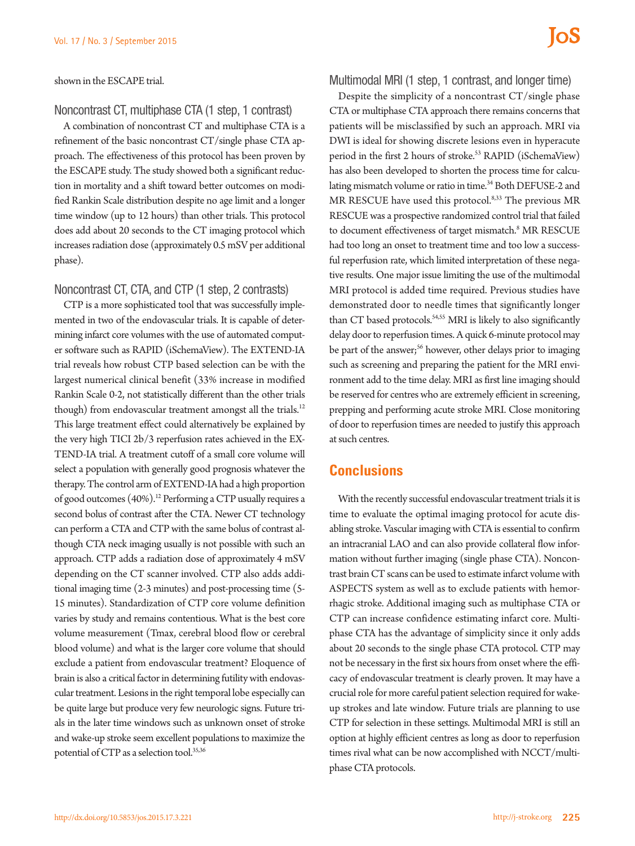shown in the ESCAPE trial.

#### Noncontrast CT, multiphase CTA (1 step, 1 contrast)

A combination of noncontrast CT and multiphase CTA is a refinement of the basic noncontrast CT/single phase CTA approach. The effectiveness of this protocol has been proven by the ESCAPE study. The study showed both a significant reduction in mortality and a shift toward better outcomes on modified Rankin Scale distribution despite no age limit and a longer time window (up to 12 hours) than other trials. This protocol does add about 20 seconds to the CT imaging protocol which increases radiation dose (approximately 0.5 mSV per additional phase).

#### Noncontrast CT, CTA, and CTP (1 step, 2 contrasts)

CTP is a more sophisticated tool that was successfully implemented in two of the endovascular trials. It is capable of determining infarct core volumes with the use of automated computer software such as RAPID (iSchemaView). The EXTEND-IA trial reveals how robust CTP based selection can be with the largest numerical clinical benefit (33% increase in modified Rankin Scale 0-2, not statistically different than the other trials though) from endovascular treatment amongst all the trials.<sup>12</sup> This large treatment effect could alternatively be explained by the very high TICI 2b/3 reperfusion rates achieved in the EX-TEND-IA trial. A treatment cutoff of a small core volume will select a population with generally good prognosis whatever the therapy. The control arm of EXTEND-IA had a high proportion of good outcomes (40%).<sup>12</sup> Performing a CTP usually requires a second bolus of contrast after the CTA. Newer CT technology can perform a CTA and CTP with the same bolus of contrast although CTA neck imaging usually is not possible with such an approach. CTP adds a radiation dose of approximately 4 mSV depending on the CT scanner involved. CTP also adds additional imaging time (2-3 minutes) and post-processing time (5- 15 minutes). Standardization of CTP core volume definition varies by study and remains contentious. What is the best core volume measurement (Tmax, cerebral blood flow or cerebral blood volume) and what is the larger core volume that should exclude a patient from endovascular treatment? Eloquence of brain is also a critical factor in determining futility with endovascular treatment. Lesions in the right temporal lobe especially can be quite large but produce very few neurologic signs. Future trials in the later time windows such as unknown onset of stroke and wake-up stroke seem excellent populations to maximize the potential of CTP as a selection tool.<sup>35,36</sup>

#### Multimodal MRI (1 step, 1 contrast, and longer time)

Despite the simplicity of a noncontrast CT/single phase CTA or multiphase CTA approach there remains concerns that patients will be misclassified by such an approach. MRI via DWI is ideal for showing discrete lesions even in hyperacute period in the first 2 hours of stroke.<sup>53</sup> RAPID (iSchemaView) has also been developed to shorten the process time for calculating mismatch volume or ratio in time.<sup>34</sup> Both DEFUSE-2 and MR RESCUE have used this protocol.8,33 The previous MR RESCUE was a prospective randomized control trial that failed to document effectiveness of target mismatch.<sup>8</sup> MR RESCUE had too long an onset to treatment time and too low a successful reperfusion rate, which limited interpretation of these negative results. One major issue limiting the use of the multimodal MRI protocol is added time required. Previous studies have demonstrated door to needle times that significantly longer than CT based protocols.<sup>54,55</sup> MRI is likely to also significantly delay door to reperfusion times. A quick 6-minute protocol may be part of the answer;<sup>56</sup> however, other delays prior to imaging such as screening and preparing the patient for the MRI environment add to the time delay. MRI as first line imaging should be reserved for centres who are extremely efficient in screening, prepping and performing acute stroke MRI. Close monitoring of door to reperfusion times are needed to justify this approach at such centres.

## **Conclusions**

With the recently successful endovascular treatment trials it is time to evaluate the optimal imaging protocol for acute disabling stroke. Vascular imaging with CTA is essential to confirm an intracranial LAO and can also provide collateral flow information without further imaging (single phase CTA). Noncontrast brain CT scans can be used to estimate infarct volume with ASPECTS system as well as to exclude patients with hemorrhagic stroke. Additional imaging such as multiphase CTA or CTP can increase confidence estimating infarct core. Multiphase CTA has the advantage of simplicity since it only adds about 20 seconds to the single phase CTA protocol. CTP may not be necessary in the first six hours from onset where the efficacy of endovascular treatment is clearly proven. It may have a crucial role for more careful patient selection required for wakeup strokes and late window. Future trials are planning to use CTP for selection in these settings. Multimodal MRI is still an option at highly efficient centres as long as door to reperfusion times rival what can be now accomplished with NCCT/multiphase CTA protocols.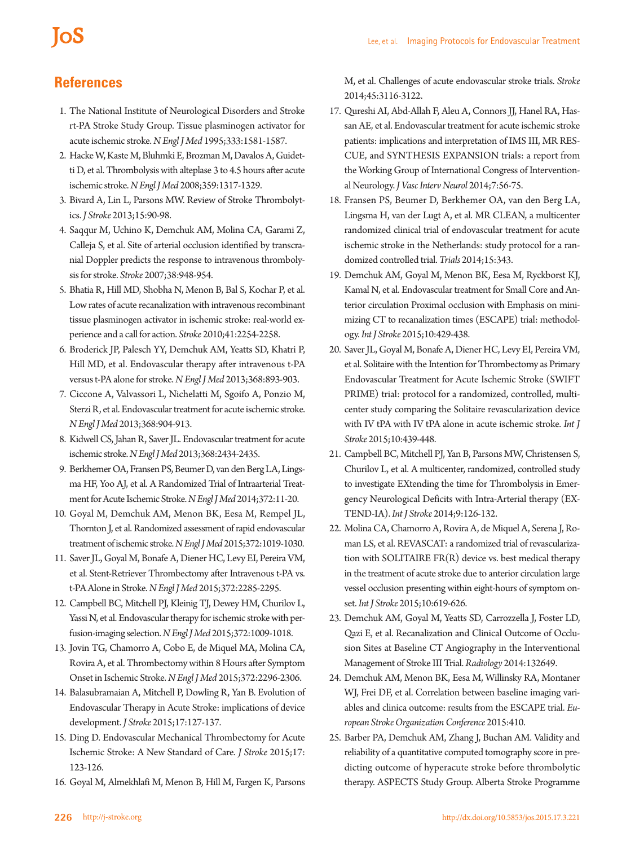# **IoS**

# **References**

- 1. The National Institute of Neurological Disorders and Stroke rt-PA Stroke Study Group. Tissue plasminogen activator for acute ischemic stroke. *N Engl J Med* 1995;333:1581-1587.
- 2. Hacke W, Kaste M, Bluhmki E, Brozman M, Davalos A, Guidetti D, et al. Thrombolysis with alteplase 3 to 4.5 hours after acute ischemic stroke. *N Engl J Med* 2008;359:1317-1329.
- 3. Bivard A, Lin L, Parsons MW. Review of Stroke Thrombolytics. *J Stroke* 2013;15:90-98.
- 4. Saqqur M, Uchino K, Demchuk AM, Molina CA, Garami Z, Calleja S, et al. Site of arterial occlusion identified by transcranial Doppler predicts the response to intravenous thrombolysis for stroke. *Stroke* 2007;38:948-954.
- 5. Bhatia R, Hill MD, Shobha N, Menon B, Bal S, Kochar P, et al. Low rates of acute recanalization with intravenous recombinant tissue plasminogen activator in ischemic stroke: real-world experience and a call for action. *Stroke* 2010;41:2254-2258.
- 6. Broderick JP, Palesch YY, Demchuk AM, Yeatts SD, Khatri P, Hill MD, et al. Endovascular therapy after intravenous t-PA versus t-PA alone for stroke. *N Engl J Med* 2013;368:893-903.
- 7. Ciccone A, Valvassori L, Nichelatti M, Sgoifo A, Ponzio M, Sterzi R, et al. Endovascular treatment for acute ischemic stroke. *N Engl J Med* 2013;368:904-913.
- 8. Kidwell CS, Jahan R, Saver JL. Endovascular treatment for acute ischemic stroke. *N Engl J Med* 2013;368:2434-2435.
- 9. Berkhemer OA, Fransen PS, Beumer D, van den Berg LA, Lingsma HF, Yoo AJ, et al. A Randomized Trial of Intraarterial Treatment for Acute Ischemic Stroke. *N Engl J Med* 2014;372:11-20.
- 10. Goyal M, Demchuk AM, Menon BK, Eesa M, Rempel JL, Thornton J, et al. Randomized assessment of rapid endovascular treatment of ischemic stroke. *N Engl J Med* 2015;372:1019-1030.
- 11. Saver JL, Goyal M, Bonafe A, Diener HC, Levy EI, Pereira VM, et al. Stent-Retriever Thrombectomy after Intravenous t-PA vs. t-PA Alone in Stroke. *N Engl J Med* 2015;372:2285-2295.
- 12. Campbell BC, Mitchell PJ, Kleinig TJ, Dewey HM, Churilov L, Yassi N, et al. Endovascular therapy for ischemic stroke with perfusion-imaging selection. *N Engl J Med* 2015;372:1009-1018.
- 13. Jovin TG, Chamorro A, Cobo E, de Miquel MA, Molina CA, Rovira A, et al. Thrombectomy within 8 Hours after Symptom Onset in Ischemic Stroke. *N Engl J Med* 2015;372:2296-2306.
- 14. Balasubramaian A, Mitchell P, Dowling R, Yan B. Evolution of Endovascular Therapy in Acute Stroke: implications of device development. *J Stroke* 2015;17:127-137.
- 15. Ding D. Endovascular Mechanical Thrombectomy for Acute Ischemic Stroke: A New Standard of Care. *J Stroke* 2015;17: 123-126.
- 16. Goyal M, Almekhlafi M, Menon B, Hill M, Fargen K, Parsons

M, et al. Challenges of acute endovascular stroke trials. *Stroke*  2014;45:3116-3122.

- 17. Qureshi AI, Abd-Allah F, Aleu A, Connors JJ, Hanel RA, Hassan AE, et al. Endovascular treatment for acute ischemic stroke patients: implications and interpretation of IMS III, MR RES-CUE, and SYNTHESIS EXPANSION trials: a report from the Working Group of International Congress of Interventional Neurology. *J Vasc Interv Neurol* 2014;7:56-75.
- 18. Fransen PS, Beumer D, Berkhemer OA, van den Berg LA, Lingsma H, van der Lugt A, et al. MR CLEAN, a multicenter randomized clinical trial of endovascular treatment for acute ischemic stroke in the Netherlands: study protocol for a randomized controlled trial. *Trials* 2014;15:343.
- 19. Demchuk AM, Goyal M, Menon BK, Eesa M, Ryckborst KJ, Kamal N, et al. Endovascular treatment for Small Core and Anterior circulation Proximal occlusion with Emphasis on minimizing CT to recanalization times (ESCAPE) trial: methodology. *Int J Stroke* 2015;10:429-438.
- 20. Saver JL, Goyal M, Bonafe A, Diener HC, Levy EI, Pereira VM, et al. Solitaire with the Intention for Thrombectomy as Primary Endovascular Treatment for Acute Ischemic Stroke (SWIFT PRIME) trial: protocol for a randomized, controlled, multicenter study comparing the Solitaire revascularization device with IV tPA with IV tPA alone in acute ischemic stroke. *Int J Stroke* 2015;10:439-448.
- 21. Campbell BC, Mitchell PJ, Yan B, Parsons MW, Christensen S, Churilov L, et al. A multicenter, randomized, controlled study to investigate EXtending the time for Thrombolysis in Emergency Neurological Deficits with Intra-Arterial therapy (EX-TEND-IA). *Int J Stroke* 2014;9:126-132.
- 22. Molina CA, Chamorro A, Rovira A, de Miquel A, Serena J, Roman LS, et al. REVASCAT: a randomized trial of revascularization with SOLITAIRE FR(R) device vs. best medical therapy in the treatment of acute stroke due to anterior circulation large vessel occlusion presenting within eight-hours of symptom onset. *Int J Stroke* 2015;10:619-626.
- 23. Demchuk AM, Goyal M, Yeatts SD, Carrozzella J, Foster LD, Qazi E, et al. Recanalization and Clinical Outcome of Occlusion Sites at Baseline CT Angiography in the Interventional Management of Stroke III Trial. *Radiology* 2014:132649.
- 24. Demchuk AM, Menon BK, Eesa M, Willinsky RA, Montaner WJ, Frei DF, et al. Correlation between baseline imaging variables and clinica outcome: results from the ESCAPE trial. *European Stroke Organization Conference* 2015:410.
- 25. Barber PA, Demchuk AM, Zhang J, Buchan AM. Validity and reliability of a quantitative computed tomography score in predicting outcome of hyperacute stroke before thrombolytic therapy. ASPECTS Study Group. Alberta Stroke Programme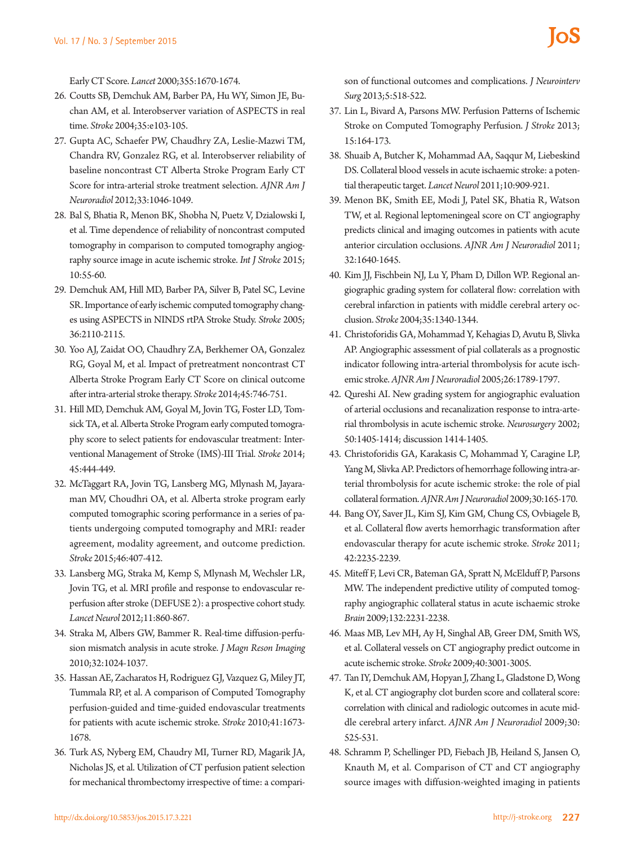Early CT Score. *Lancet* 2000;355:1670-1674.

- 26. Coutts SB, Demchuk AM, Barber PA, Hu WY, Simon JE, Buchan AM, et al. Interobserver variation of ASPECTS in real time. *Stroke* 2004;35:e103-105.
- 27. Gupta AC, Schaefer PW, Chaudhry ZA, Leslie-Mazwi TM, Chandra RV, Gonzalez RG, et al. Interobserver reliability of baseline noncontrast CT Alberta Stroke Program Early CT Score for intra-arterial stroke treatment selection. *AJNR Am J Neuroradiol* 2012;33:1046-1049.
- 28. Bal S, Bhatia R, Menon BK, Shobha N, Puetz V, Dzialowski I, et al. Time dependence of reliability of noncontrast computed tomography in comparison to computed tomography angiography source image in acute ischemic stroke. *Int J Stroke* 2015; 10:55-60.
- 29. Demchuk AM, Hill MD, Barber PA, Silver B, Patel SC, Levine SR. Importance of early ischemic computed tomography changes using ASPECTS in NINDS rtPA Stroke Study. *Stroke* 2005; 36:2110-2115.
- 30. Yoo AJ, Zaidat OO, Chaudhry ZA, Berkhemer OA, Gonzalez RG, Goyal M, et al. Impact of pretreatment noncontrast CT Alberta Stroke Program Early CT Score on clinical outcome after intra-arterial stroke therapy. *Stroke* 2014;45:746-751.
- 31. Hill MD, Demchuk AM, Goyal M, Jovin TG, Foster LD, Tomsick TA, et al. Alberta Stroke Program early computed tomography score to select patients for endovascular treatment: Interventional Management of Stroke (IMS)-III Trial. *Stroke* 2014; 45:444-449.
- 32. McTaggart RA, Jovin TG, Lansberg MG, Mlynash M, Jayaraman MV, Choudhri OA, et al. Alberta stroke program early computed tomographic scoring performance in a series of patients undergoing computed tomography and MRI: reader agreement, modality agreement, and outcome prediction. *Stroke* 2015;46:407-412.
- 33. Lansberg MG, Straka M, Kemp S, Mlynash M, Wechsler LR, Jovin TG, et al. MRI profile and response to endovascular reperfusion after stroke (DEFUSE 2): a prospective cohort study. *Lancet Neurol* 2012;11:860-867.
- 34. Straka M, Albers GW, Bammer R. Real-time diffusion-perfusion mismatch analysis in acute stroke. *J Magn Reson Imaging* 2010;32:1024-1037.
- 35. Hassan AE, Zacharatos H, Rodriguez GJ, Vazquez G, Miley JT, Tummala RP, et al. A comparison of Computed Tomography perfusion-guided and time-guided endovascular treatments for patients with acute ischemic stroke. *Stroke* 2010;41:1673- 1678.
- 36. Turk AS, Nyberg EM, Chaudry MI, Turner RD, Magarik JA, Nicholas JS, et al. Utilization of CT perfusion patient selection for mechanical thrombectomy irrespective of time: a compari-

son of functional outcomes and complications. *J Neurointerv Surg* 2013;5:518-522.

- 37. Lin L, Bivard A, Parsons MW. Perfusion Patterns of Ischemic Stroke on Computed Tomography Perfusion. *J Stroke* 2013; 15:164-173.
- 38. Shuaib A, Butcher K, Mohammad AA, Saqqur M, Liebeskind DS. Collateral blood vessels in acute ischaemic stroke: a potential therapeutic target. *Lancet Neurol* 2011;10:909-921.
- 39. Menon BK, Smith EE, Modi J, Patel SK, Bhatia R, Watson TW, et al. Regional leptomeningeal score on CT angiography predicts clinical and imaging outcomes in patients with acute anterior circulation occlusions. *AJNR Am J Neuroradiol* 2011; 32:1640-1645.
- 40. Kim JJ, Fischbein NJ, Lu Y, Pham D, Dillon WP. Regional angiographic grading system for collateral flow: correlation with cerebral infarction in patients with middle cerebral artery occlusion. *Stroke* 2004;35:1340-1344.
- 41. Christoforidis GA, Mohammad Y, Kehagias D, Avutu B, Slivka AP. Angiographic assessment of pial collaterals as a prognostic indicator following intra-arterial thrombolysis for acute ischemic stroke. *AJNR Am J Neuroradiol* 2005;26:1789-1797.
- 42. Qureshi AI. New grading system for angiographic evaluation of arterial occlusions and recanalization response to intra-arterial thrombolysis in acute ischemic stroke. *Neurosurgery* 2002; 50:1405-1414; discussion 1414-1405.
- 43. Christoforidis GA, Karakasis C, Mohammad Y, Caragine LP, Yang M, Slivka AP. Predictors of hemorrhage following intra-arterial thrombolysis for acute ischemic stroke: the role of pial collateral formation. *AJNR Am J Neuroradiol* 2009;30:165-170.
- 44. Bang OY, Saver JL, Kim SJ, Kim GM, Chung CS, Ovbiagele B, et al. Collateral flow averts hemorrhagic transformation after endovascular therapy for acute ischemic stroke. *Stroke* 2011; 42:2235-2239.
- 45. Miteff F, Levi CR, Bateman GA, Spratt N, McElduff P, Parsons MW. The independent predictive utility of computed tomography angiographic collateral status in acute ischaemic stroke *Brain* 2009;132:2231-2238.
- 46. Maas MB, Lev MH, Ay H, Singhal AB, Greer DM, Smith WS, et al. Collateral vessels on CT angiography predict outcome in acute ischemic stroke. *Stroke* 2009;40:3001-3005.
- 47. Tan IY, Demchuk AM, Hopyan J, Zhang L, Gladstone D, Wong K, et al. CT angiography clot burden score and collateral score: correlation with clinical and radiologic outcomes in acute middle cerebral artery infarct. *AJNR Am J Neuroradiol* 2009;30: 525-531.
- 48. Schramm P, Schellinger PD, Fiebach JB, Heiland S, Jansen O, Knauth M, et al. Comparison of CT and CT angiography source images with diffusion-weighted imaging in patients